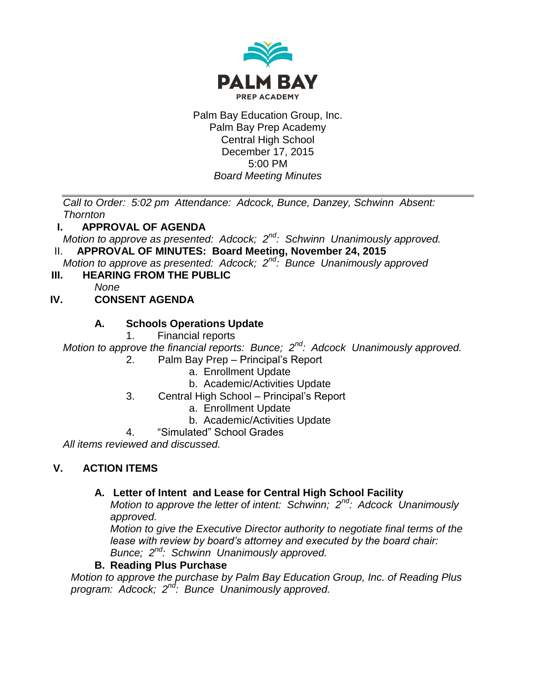

Palm Bay Education Group, Inc. Palm Bay Prep Academy Central High School December 17, 2015 5:00 PM *Board Meeting Minutes*

*Call to Order: 5:02 pm Attendance: Adcock, Bunce, Danzey, Schwinn Absent: Thornton*

## **I. APPROVAL OF AGENDA**

*Motion to approve as presented: Adcock; 2nd: Schwinn Unanimously approved.* II. **APPROVAL OF MINUTES: Board Meeting, November 24, 2015**

*Motion to approve as presented: Adcock; 2nd: Bunce Unanimously approved* 

**III. HEARING FROM THE PUBLIC**

*None*

# **IV. CONSENT AGENDA**

## **A. Schools Operations Update**

1. Financial reports

*Motion to approve the financial reports: Bunce; 2nd: Adcock Unanimously approved.*

- 2. Palm Bay Prep Principal's Report
	- a. Enrollment Update
	- b. Academic/Activities Update
- 3. Central High School Principal's Report
	- a. Enrollment Update
	- b. Academic/Activities Update
- 4. "Simulated" School Grades

*All items reviewed and discussed.*

# **V. ACTION ITEMS**

## **A. Letter of Intent and Lease for Central High School Facility**

*Motion to approve the letter of intent: Schwinn; 2nd: Adcock Unanimously approved.*

*Motion to give the Executive Director authority to negotiate final terms of the lease with review by board's attorney and executed by the board chair: Bunce; 2nd: Schwinn Unanimously approved.*

## **B. Reading Plus Purchase**

*Motion to approve the purchase by Palm Bay Education Group, Inc. of Reading Plus program: Adcock; 2nd: Bunce Unanimously approved.*